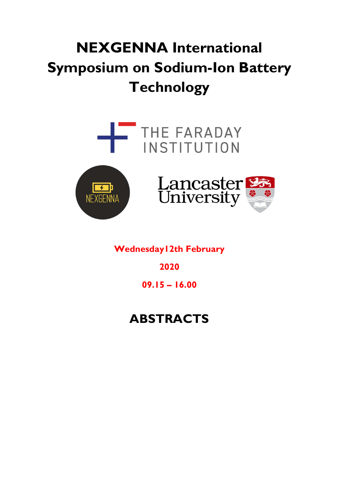# NEXGENNA International Symposium on Sodium-Ion Battery **Technology**







Wednesday12th February

2020

09.15 – 16.00

## ABSTRACTS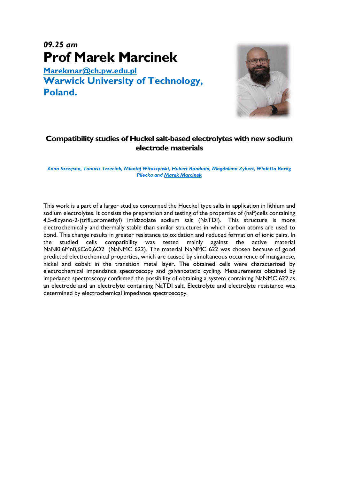## 09.25 am Prof Marek Marcinek

Marekmar@ch.pw.edu.pl Warwick University of Technology, Poland.



#### Compatibility studies of Huckel salt-based electrolytes with new sodium electrode materials

Anna Szczęsna, Tomasz Trzeciak, Mikołaj Wituszyński, Hubert Ronduda, Magdalena Zybert, Wioletta Raróg Pilecka and Marek Marcinek

This work is a part of a larger studies concerned the Hucckel type salts in application in lithium and sodium electrolytes. It consists the preparation and testing of the properties of (half)cells containing 4,5-dicyano-2-(trifluoromethyl) imidazolate sodium salt (NaTDI). This structure is more electrochemically and thermally stable than similar structures in which carbon atoms are used to bond. This change results in greater resistance to oxidation and reduced formation of ionic pairs. In the studied cells compatibility was tested mainly against the active material NaNi0,6Mn0,6Co0,6O2 (NaNMC 622). The material NaNMC 622 was chosen because of good predicted electrochemical properties, which are caused by simultaneous occurrence of manganese, nickel and cobalt in the transition metal layer. The obtained cells were characterized by electrochemical impendance spectroscopy and galvanostatic cycling. Measurements obtained by impedance spectroscopy confirmed the possibility of obtaining a system containing NaNMC 622 as an electrode and an electrolyte containing NaTDI salt. Electrolyte and electrolyte resistance was determined by electrochemical impedance spectroscopy.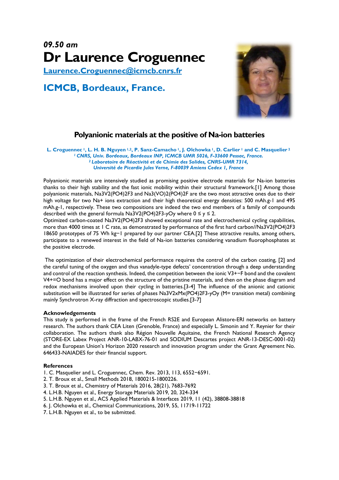## 09.50 am Dr Laurence Croguennec

Laurence.Croguennec@icmcb.cnrs.fr

### ICMCB, Bordeaux, France.



#### Polyanionic materials at the positive of Na-ion batteries

L. Croguennec <sup>1</sup>, L. H. B. Nguyen <sup>1,2</sup>, P. Sanz-Camacho <sup>1</sup>, J. Olchowka <sup>1</sup>, D. Carlier <sup>1</sup> and C. Masquelier <sup>2</sup> <sup>1</sup> CNRS, Univ. Bordeaux, Bordeaux INP, ICMCB UMR 5026, F-33600 Pessac, France. <sup>2</sup>Laboratoire de Réactivité et de Chimie des Solides, CNRS-UMR 7314, Université de Picardie Jules Verne, F-80039 Amiens Cedex 1, France

Polyanionic materials are intensively studied as promising positive electrode materials for Na-ion batteries thanks to their high stability and the fast ionic mobility within their structural framework.[1] Among those polyanionic materials, Na3V2(PO4)2F3 and Na3(VO)2(PO4)2F are the two most attractive ones due to their high voltage for two Na+ ions extraction and their high theoretical energy densities: 500 mAh.g-1 and 495 mAh.g-1, respectively. These two compositions are indeed the two end members of a family of compounds described with the general formula Na3V2(PO4)2F3-yOy where  $0 \le y \le 2$ .

Optimized carbon-coated Na3V2(PO4)2F3 showed exceptional rate and electrochemical cycling capabilities, more than 4000 times at 1 C rate, as demonstrated by performance of the first hard carbon//Na3V2(PO4)2F3 18650 prototypes of 75 Wh kg−1 prepared by our partner CEA.[2] These attractive results, among others, participate to a renewed interest in the field of Na-ion batteries considering vanadium fluorophosphates at the positive electrode.

 The optimization of their electrochemical performance requires the control of the carbon coating, [2] and the careful tuning of the oxygen and thus vanadyle-type defects' concentration through a deep understanding and control of the reaction synthesis. Indeed, the competition between the ionic V3+−F bond and the covalent V4+=O bond has a major effect on the structure of the pristine materials, and then on the phase diagram and redox mechanisms involved upon their cycling in batteries.[3-4] The influence of the anionic and cationic substitution will be illustrated for series of phases Na3V2xMx(PO4)2F3-yOy (M= transition metal) combining mainly Synchrotron X-ray diffraction and spectroscopic studies.[3-7]

#### Acknowledgements

This study is performed in the frame of the French RS2E and European Alistore-ERI networks on battery research. The authors thank CEA Liten (Grenoble, France) and especially L. Simonin and Y. Reynier for their collaboration. The authors thank also Région Nouvelle Aquitaine, the French National Research Agency (STORE-EX Labex Project ANR-10-LABX-76-01 and SODIUM Descartes project ANR-13-DESC-0001-02) and the European Union's Horizon 2020 research and innovation program under the Grant Agreement No. 646433-NAIADES for their financial support.

#### References

- 1. C. Masquelier and L. Croguennec, Chem. Rev. 2013, 113, 6552−6591.
- 2. T. Broux et al., Small Methods 2018, 1800215-1800226.
- 3. T. Broux et al., Chemistry of Materials 2016, 28(21), 7683-7692
- 4. L.H.B. Nguyen et al., Energy Storage Materials 2019, 20, 324-334
- 5. L.H.B. Nguyen et al., ACS Applied Materials & Interfaces 2019, 11 (42), 38808-38818
- 6. J. Olchowka et al., Chemical Communications, 2019, 55, 11719-11722
- 7. L.H.B. Nguyen et al., to be submitted.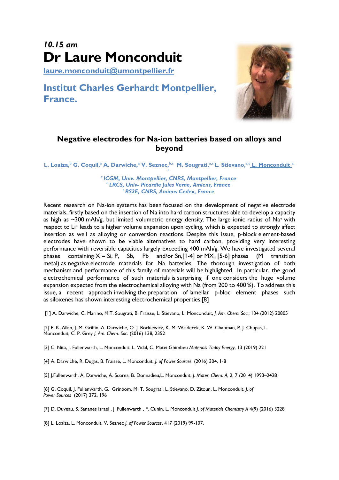## 10.15 am Dr Laure Monconduit

laure.monconduit@umontpellier.fr

### Institut Charles Gerhardt Montpellier, France.



#### Negative electrodes for Na-ion batteries based on alloys and beyond

L. Loaiza,<sup>b</sup> G. Coquil,<sup>a</sup> A. Darwiche,<sup>a</sup> V. Seznec,<sup>b,c</sup> M. Sougrati,<sup>a,c</sup> L. Stievano,<sup>a,c</sup> L. Monconduit <sup>a,</sup> c

> <sup>a</sup> ICGM, Univ. Montpellier, CNRS, Montpellier, France <sup>b</sup> LRCS, Univ- Picardie Jules Verne, Amiens, France **CRS2E, CNRS, Amiens Cedex, France**

Recent research on Na-ion systems has been focused on the development of negative electrode materials, firstly based on the insertion of Na into hard carbon structures able to develop a capacity as high as  $\sim$ 300 mAh/g, but limited volumetric energy density. The large ionic radius of Na<sup>+</sup> with respect to Li<sup>+</sup> leads to a higher volume expansion upon cycling, which is expected to strongly affect insertion as well as alloying or conversion reactions. Despite this issue, p-block element-based electrodes have shown to be viable alternatives to hard carbon, providing very interesting performance with reversible capacities largely exceeding 400 mAh/g. We have investigated several phases containing  $X = Si$ , P, Sb, Pb and/or Sn, [1-4] or MX<sub>n</sub> [5-6] phases (M transition metal) as negative electrode materials for Na batteries. The thorough investigation of both mechanism and performance of this family of materials will be highlighted. In particular, the good electrochemical performance of such materials is surprising if one considers the huge volume expansion expected from the electrochemical alloying with Na (from 200 to 400 %). To address this issue, a recent approach involving the preparation of lamellar p-bloc element phases such as siloxenes has shown interesting electrochemical properties.[8]

[1] A. Darwiche, C. Marino, M.T. Sougrati, B. Fraisse, L. Stievano, L. Monconduit, J. Am. Chem. Soc., 134 (2012) 20805

[2] P. K. Allan, J. M. Griffin, A. Darwiche, O. J. Borkiewicz, K. M. Wiaderek, K. W. Chapman, P. J. Chupas, L. Monconduit, C. P. Grey J. Am. Chem. Soc. (2016) 138, 2352

[3] C. Nita, J. Fullenwarth, L. Monconduit; L. Vidal, C. Matei Ghimbeu Materials Today Energy, 13 (2019) 221

[4] A. Darwiche, R. Dugas, B. Fraisse, L. Monconduit, J. of Power Sources, (2016) 304, 1-8

[5] J.Fullenwarth, A. Darwiche, A. Soares, B. Donnadieu,L. Monconduit, J. Mater. Chem. A, 2, 7 (2014) 1993–2428

[6] G. Coquil, J. Fullenwarth, G. Grinbom, M. T. Sougrati, L. Stievano, D. Zitoun, L. Monconduit, J. of Power Sources (2017) 372, 196

[7] D. Duveau, S. Sananes Israel , J. Fullenwarth , F. Cunin, L. Monconduit *J. of Materials Chemistry A 4(9)* (2016) 3228

[8] L. Loaiza, L. Monconduit, V. Seznec J. of Power Sources, 417 (2019) 99-107.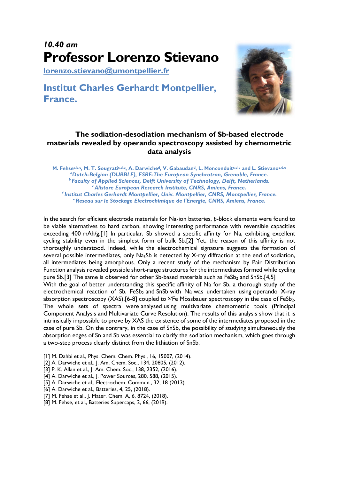## 10.40 am Professor Lorenzo Stievano

lorenzo.stievano@umontpellier.fr

### Institut Charles Gerhardt Montpellier, France.



#### The sodiation-desodiation mechanism of Sb-based electrode materials revealed by operando spectroscopy assisted by chemometric data analysis

M. Fehsea,b,c, M. T. Sougratic,d,e, A. Darwiched, V. Gabaudand, L. Monconduitc,d,e and L. Stievanoc,d,e <sup>a</sup>Dutch-Belgian (DUBBLE), ESRF-The European Synchrotron, Grenoble, France. <sup>b</sup> Faculty of Applied Sciences, Delft University of Technology, Delft, Netherlands. **Alistore European Research Institute, CNRS, Amiens, France.** <sup>d</sup> Institut Charles Gerhardt Montpellier, Univ. Montpellier, CNRS, Montpellier, France. e Reseau sur le Stockage Electrochimique de l'Energie, CNRS, Amiens, France.

In the search for efficient electrode materials for Na-ion batteries, p-block elements were found to be viable alternatives to hard carbon, showing interesting performance with reversible capacities exceeding 400 mAh/g.[1] In particular, Sb showed a specific affinity for Na, exhibiting excellent cycling stability even in the simplest form of bulk Sb.[2] Yet, the reason of this affinity is not thoroughly understood. Indeed, while the electrochemical signature suggests the formation of several possible intermediates, only Na<sub>3</sub>Sb is detected by X-ray diffraction at the end of sodiation, all intermediates being amorphous. Only a recent study of the mechanism by Pair Distribution Function analysis revealed possible short-range structures for the intermediates formed while cycling pure Sb.[3] The same is observed for other Sb-based materials such as  $FeSb<sub>2</sub>$  and SnSb.[4,5]

With the goal of better understanding this specific affinity of Na for Sb, a thorough study of the electrochemical reaction of Sb,  $FeSb<sub>2</sub>$  and SnSb with Na was undertaken using operando X-ray absorption spectroscopy  $(XAS)$ ,  $[6-8]$  coupled to <sup>57</sup>Fe Mössbauer spectroscopy in the case of FeSb<sub>2</sub>. The whole sets of spectra were analysed using multivariate chemometric tools (Principal Component Analysis and Multivariate Curve Resolution). The results of this analysis show that it is intrinsically impossible to prove by XAS the existence of some of the intermediates proposed in the case of pure Sb. On the contrary, in the case of SnSb, the possibility of studying simultaneously the absorption edges of Sn and Sb was essential to clarify the sodiation mechanism, which goes through a two-step process clearly distinct from the lithiation of SnSb.

- [1] M. Dahbi et al., Phys. Chem. Chem. Phys., 16, 15007, (2014).
- [2] A. Darwiche et al., J. Am. Chem. Soc., 134, 20805, (2012).
- [3] P. K. Allan et al., J. Am. Chem. Soc., 138, 2352, (2016).
- [4] A. Darwiche et al., J. Power Sources, 280, 588, (2015).
- [5] A. Darwiche et al., Electrochem. Commun., 32, 18 (2013).
- [6] A. Darwiche et al., Batteries, 4, 25, (2018).
- [7] M. Fehse et al., J. Mater. Chem. A, 6, 8724, (2018).
- [8] M. Fehse, et al., Batteries Supercaps, 2, 66, (2019).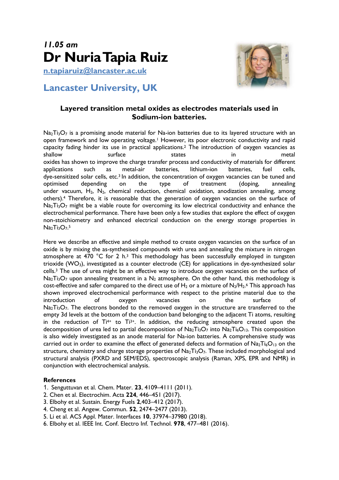

n.tapiaruiz@lancaster.ac.uk

### Lancaster University, UK



#### Layered transition metal oxides as electrodes materials used in Sodium-ion batteries.

 $Na<sub>2</sub>T<sub>13</sub>O<sub>7</sub>$  is a promising anode material for Na-ion batteries due to its layered structure with an open framework and low operating voltage.1 However, its poor electronic conductivity and rapid capacity fading hinder its use in practical applications.2 The introduction of oxygen vacancies as shallow surface states in metal oxides has shown to improve the charge transfer process and conductivity of materials for different applications such as metal-air batteries, lithium-ion batteries, fuel cells, dye-sensitized solar cells, etc.<sup>3</sup> In addition, the concentration of oxygen vacancies can be tuned and optimised depending on the type of treatment (doping, annealing under vacuum,  $H_2$ ,  $N_2$ , chemical reduction, chemical oxidation, anodization annealing, among others).4 Therefore, it is reasonable that the generation of oxygen vacancies on the surface of Na<sub>2</sub>Ti<sub>3</sub>O<sub>7</sub> might be a viable route for overcoming its low electrical conductivity and enhance the electrochemical performance. There have been only a few studies that explore the effect of oxygen non-stoichiometry and enhanced electrical conduction on the energy storage properties in  $Na<sub>2</sub>Ti<sub>3</sub>O<sub>7</sub>$ .

Here we describe an effective and simple method to create oxygen vacancies on the surface of an oxide is by mixing the as-synthesised compounds with urea and annealing the mixture in nitrogen atmosphere at 470  $^{\circ}$ C for 2 h.<sup>3</sup> This methodology has been successfully employed in tungsten trioxide (WO3), investigated as a counter electrode (CE) for applications in dye-synthesized solar cells.3 The use of urea might be an effective way to introduce oxygen vacancies on the surface of  $Na<sub>2</sub>T<sub>13</sub>O<sub>7</sub>$  upon annealing treatment in a  $N<sub>2</sub>$  atmosphere. On the other hand, this methodology is cost-effective and safer compared to the direct use of  $H_2$  or a mixture of  $N_2/H_2$ .<sup>6</sup> This approach has shown improved electrochemical performance with respect to the pristine material due to the introduction of oxygen vacancies on the surface of Na<sub>2</sub>Ti<sub>3</sub>O<sub>7</sub>. The electrons bonded to the removed oxygen in the structure are transferred to the empty 3d levels at the bottom of the conduction band belonging to the adjacent Ti atoms, resulting in the reduction of  $Ti^{4+}$  to  $Ti^{3+}$ . In addition, the reducing atmosphere created upon the decomposition of urea led to partial decomposition of  $Na<sub>2</sub>T<sub>13</sub>O<sub>7</sub>$  into  $Na<sub>2</sub>T<sub>16</sub>O<sub>13</sub>$ . This composition is also widely investigated as an anode material for Na-ion batteries. A comprehensive study was carried out in order to examine the effect of generated defects and formation of  $Na<sub>2</sub>T<sub>16</sub>O<sub>13</sub>$  on the structure, chemistry and charge storage properties of  $Na<sub>2</sub>Ti<sub>3</sub>O<sub>7</sub>$ . These included morphological and structural analysis (PXRD and SEM/EDS), spectroscopic analysis (Raman, XPS, EPR and NMR) in conjunction with electrochemical analysis.

#### **References**

- 1. Senguttuvan et al. Chem. Mater. 23, 4109–4111 (2011).
- 2. Chen et al. Electrochim. Acta 224, 446–451 (2017).
- 3. Elbohy et al. Sustain. Energy Fuels 2,403–412 (2017).
- 4. Cheng et al. Angew. Commun. 52, 2474–2477 (2013).
- 5. Li et al. ACS Appl. Mater. Interfaces 10, 37974–37980 (2018).
- 6. Elbohy et al. IEEE Int. Conf. Electro Inf. Technol. 978, 477–481 (2016).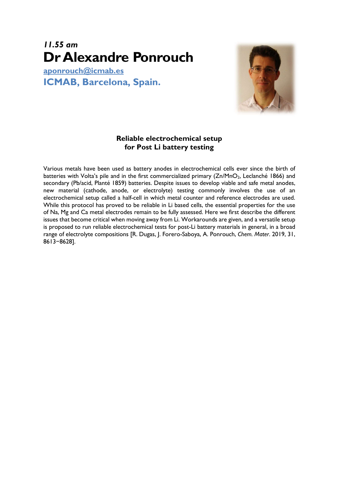### 11.55 am Dr Alexandre Ponrouch

aponrouch@icmab.es ICMAB, Barcelona, Spain.



#### Reliable electrochemical setup for Post Li battery testing

Various metals have been used as battery anodes in electrochemical cells ever since the birth of batteries with Volta's pile and in the first commercialized primary (Zn/MnO<sub>2</sub>, Leclanché 1866) and secondary (Pb/acid, Planté 1859) batteries. Despite issues to develop viable and safe metal anodes, new material (cathode, anode, or electrolyte) testing commonly involves the use of an electrochemical setup called a half-cell in which metal counter and reference electrodes are used. While this protocol has proved to be reliable in Li based cells, the essential properties for the use of Na, Mg and Ca metal electrodes remain to be fully assessed. Here we first describe the different issues that become critical when moving away from Li. Workarounds are given, and a versatile setup is proposed to run reliable electrochemical tests for post-Li battery materials in general, in a broad range of electrolyte compositions [R. Dugas, J. Forero-Saboya, A. Ponrouch, Chem. Mater. 2019, 31, 8613−8628].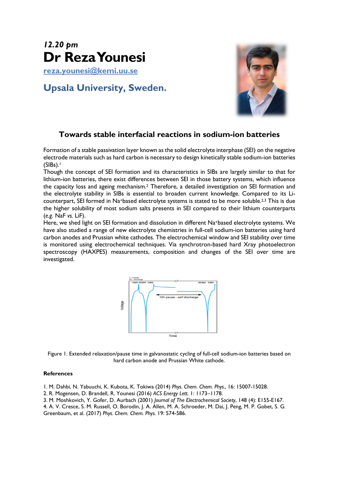## 12.20 pm Dr Reza Younesi

reza.younesi@kemi.uu.se

### Upsala University, Sweden.



### Towards stable interfacial reactions in sodium-ion batteries

Formation of a stable passivation layer known as the solid electrolyte interphase (SEI) on the negative electrode materials such as hard carbon is necessary to design kinetically stable sodium-ion batteries  $(SIBs).<sup>1</sup>$ 

Though the concept of SEI formation and its characteristics in SIBs are largely similar to that for lithium-ion batteries, there exist differences between SEI in those battery systems, which influence the capacity loss and ageing mechanism.2 Therefore, a detailed investigation on SEI formation and the electrolyte stability in SIBs is essential to broaden current knowledge. Compared to its Licounterpart, SEI formed in Na+based electrolyte systems is stated to be more soluble.2,3 This is due the higher solubility of most sodium salts presents in SEI compared to their lithium counterparts (e.g. NaF vs. LiF).

Here, we shed light on SEI formation and dissolution in different Na+based electrolyte systems. We have also studied a range of new electrolyte chemistries in full-cell sodium-ion batteries using hard carbon anodes and Prussian white cathodes. The electrochemical window and SEI stability over time is monitored using electrochemical techniques. Via synchrotron-based hard Xray photoelectron spectroscopy (HAXPES) measurements, composition and changes of the SEI over time are investigated.



Figure 1. Extended relaxation/pause time in galvanostatic cycling of full-cell sodium-ion batteries based on hard carbon anode and Prussian White cathode.

#### **References**

1. M. Dahbi, N. Yabuuchi, K. Kubota, K. Tokiwa (2014) Phys. Chem. Chem. Phys., 16: 15007-15028.

- 2. R. Mogensen, D. Brandell, R. Younesi (2016) ACS Energy Lett. 1: 1173–1178.
- 3. M. Moshkovich, Y. Gofer, D. Aurbach (2001) Journal of The Electrochemical Society, 148 (4): E155-E167.
- 4. A. V. Cresce, S. M. Russell, O. Borodin, J. A. Allen, M. A. Schroeder, M. Dai, J. Peng, M. P. Gobet, S. G.

Greenbaum, et al. (2017) Phys. Chem. Chem. Phys. 19: 574-586.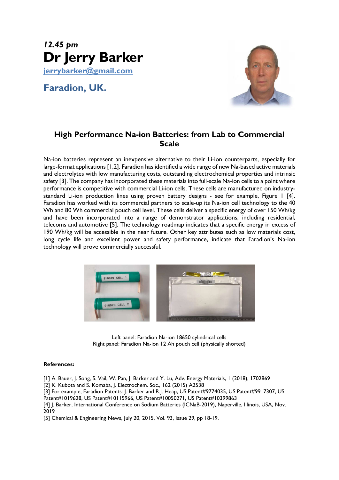

Faradion, UK.



#### High Performance Na-ion Batteries: from Lab to Commercial **Scale**

Na-ion batteries represent an inexpensive alternative to their Li-ion counterparts, especially for large-format applications [1,2]. Faradion has identified a wide range of new Na-based active materials and electrolytes with low manufacturing costs, outstanding electrochemical properties and intrinsic safety [3]. The company has incorporated these materials into full-scale Na-ion cells to a point where performance is competitive with commercial Li-ion cells. These cells are manufactured on industrystandard Li-ion production lines using proven battery designs - see for example, Figure 1 [4]. Faradion has worked with its commercial partners to scale-up its Na-ion cell technology to the 40 Wh and 80 Wh commercial pouch cell level. These cells deliver a specific energy of over 150 Wh/kg and have been incorporated into a range of demonstrator applications, including residential, telecoms and automotive [5]. The technology roadmap indicates that a specific energy in excess of 190 Wh/kg will be accessible in the near future. Other key attributes such as low materials cost, long cycle life and excellent power and safety performance, indicate that Faradion's Na-ion technology will prove commercially successful.



Left panel: Faradion Na-ion 18650 cylindrical cells Right panel: Faradion Na-ion 12 Ah pouch cell (physically shorted)

#### References:

[1] A. Bauer, J. Song, S. Vail, W. Pan, J. Barker and Y. Lu, Adv. Energy Materials, 1 (2018), 1702869

[2] K. Kubota and S. Komaba, J. Electrochem. Soc., 162 (2015) A2538

[3] For example, Faradion Patents: J. Barker and R.J. Heap, US Patent#9774035, US Patent#9917307, US Patent#1019628, US Patent#10115966, US Patent#10050271, US Patent#10399863

[4] J. Barker, International Conference on Sodium Batteries (ICNaB-2019), Naperville, Illinois, USA, Nov. 2019

[5] Chemical & Engineering News, July 20, 2015, Vol. 93, Issue 29, pp 18-19.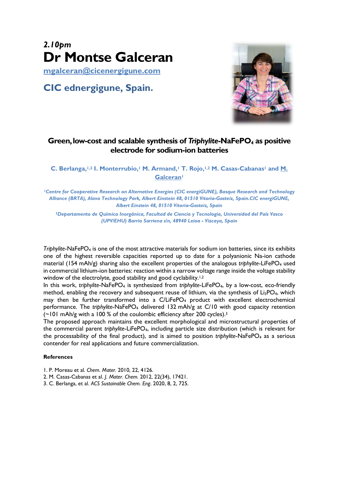## 2.10pm Dr Montse Galceran

mgalceran@cicenergigune.com

CIC ednergigune, Spain.



#### Green, low-cost and scalable synthesis of Triphylite-NaFePO<sub>4</sub> as positive electrode for sodium-ion batteries

C. Berlanga,<sup>1,2</sup> I. Monterrubio,<sup>1</sup> M. Armand,<sup>1</sup> T. Rojo,<sup>1,2</sup> M. Casas-Cabanas<sup>1</sup> and M. **Galceran<sup>1</sup>** 

<sup>1</sup>Centre for Cooperative Research on Alternative Energies (CIC energiGUNE), Basque Research and Technology Alliance (BRTA), Alava Technology Park, Albert Einstein 48, 01510 Vitoria-Gasteiz, Spain.CIC energiGUNE, Albert Einstein 48, 01510 Vitoria-Gasteiz, Spain

<sup>2</sup>Departamento de Química Inorgánica, Facultad de Ciencia y Tecnología, Universidad del País Vasco (UPV/EHU) Barrio Sarriena s/n, 48940 Leioa - Vizcaya, Spain

Triphylite-NaFePO4 is one of the most attractive materials for sodium ion batteries, since its exhibits one of the highest reversible capacities reported up to date for a polyanionic Na-ion cathode material (154 mAh/g) sharing also the excellent properties of the analogous triphylite-LiFePO<sub>4</sub> used in commercial lithium-ion batteries: reaction within a narrow voltage range inside the voltage stability window of the electrolyte, good stability and good cyclability.<sup>1,2</sup>

In this work, triphylite-NaFePO<sub>4</sub> is synthesized from triphylite-LiFePO<sub>4</sub>, by a low-cost, eco-friendly method, enabling the recovery and subsequent reuse of lithium, via the synthesis of  $Li_3PO_4$ , which may then be further transformed into a  $C/LiFePO<sub>4</sub>$  product with excellent electrochemical performance. The triphylite-NaFePO<sub>4</sub> delivered 132 mAh/g at C/10 with good capacity retention (~101 mAh/g with a 100 % of the coulombic efficiency after 200 cycles).<sup>3</sup>

The proposed approach maintains the excellent morphological and microstructural properties of the commercial parent triphylite-LiFePO<sub>4</sub>, including particle size distribution (which is relevant for the processability of the final product), and is aimed to position triphylite-NaFePO<sub>4</sub> as a serious contender for real applications and future commercialization.

#### References

- 1. P. Moreau et al. Chem. Mater. 2010, 22, 4126.
- 2. M. Casas-Cabanas et al. J. Mater. Chem. 2012, 22(34), 17421.
- 3. C. Berlanga, et al. ACS Sustainable Chem. Eng. 2020, 8, 2, 725.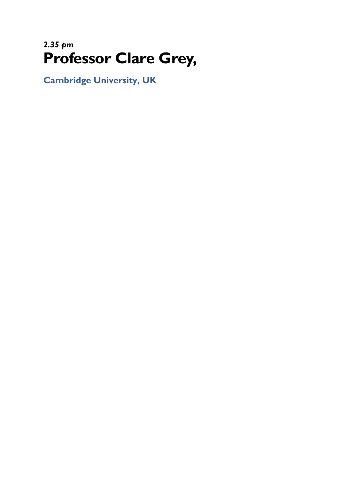## 2.35 pm Professor Clare Grey,

Cambridge University, UK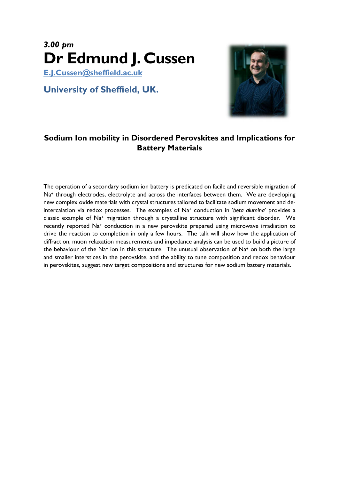## 3.00 pm Dr Edmund J. Cussen

E.J.Cussen@sheffield.ac.uk

### University of Sheffield, UK.



### Sodium Ion mobility in Disordered Perovskites and Implications for Battery Materials

The operation of a secondary sodium ion battery is predicated on facile and reversible migration of Na<sup>+</sup> through electrodes, electrolyte and across the interfaces between them. We are developing new complex oxide materials with crystal structures tailored to facilitate sodium movement and deintercalation via redox processes. The examples of Na<sup>+</sup> conduction in 'beta alumina' provides a classic example of Na+ migration through a crystalline structure with significant disorder. We recently reported Na<sup>+</sup> conduction in a new perovskite prepared using microwave irradiation to drive the reaction to completion in only a few hours. The talk will show how the application of diffraction, muon relaxation measurements and impedance analysis can be used to build a picture of the behaviour of the Na+ ion in this structure. The unusual observation of Na+ on both the large and smaller interstices in the perovskite, and the ability to tune composition and redox behaviour in perovskites, suggest new target compositions and structures for new sodium battery materials.